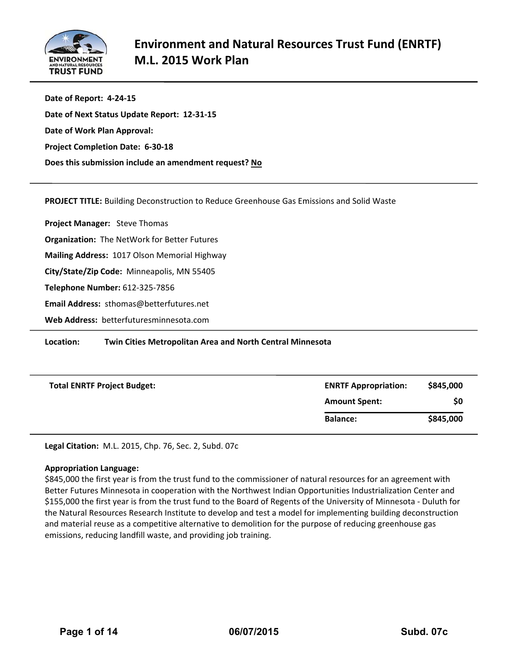

**Date of Report: 4‐24‐15 Date of Next Status Update Report: 12‐31‐15 Date of Work Plan Approval: Project Completion Date: 6‐30‐18 Does this submission include an amendment request? No**

**PROJECT TITLE:** Building Deconstruction to Reduce Greenhouse Gas Emissions and Solid Waste 

**Project Manager:**  Steve Thomas **Organization:** The NetWork for Better Futures **Mailing Address:** 1017 Olson Memorial Highway **City/State/Zip Code:** Minneapolis, MN 55405 **Telephone Number:** 612‐325‐7856 **Email Address:** sthomas@betterfutures.net **Web Address:** betterfuturesminnesota.com

**Location: Twin Cities Metropolitan Area and North Central Minnesota** 

| <b>Total ENRTF Project Budget:</b> | <b>ENRTF Appropriation:</b> | \$845,000 |  |  |
|------------------------------------|-----------------------------|-----------|--|--|
|                                    | <b>Amount Spent:</b>        | \$0       |  |  |
|                                    | <b>Balance:</b>             | \$845,000 |  |  |

**Legal Citation:** M.L. 2015, Chp. 76, Sec. 2, Subd. 07c

# **Appropriation Language:**

\$845,000 the first year is from the trust fund to the commissioner of natural resources for an agreement with Better Futures Minnesota in cooperation with the Northwest Indian Opportunities Industrialization Center and \$155,000 the first year is from the trust fund to the Board of Regents of the University of Minnesota ‐ Duluth for the Natural Resources Research Institute to develop and test a model for implementing building deconstruction and material reuse as a competitive alternative to demolition for the purpose of reducing greenhouse gas emissions, reducing landfill waste, and providing job training.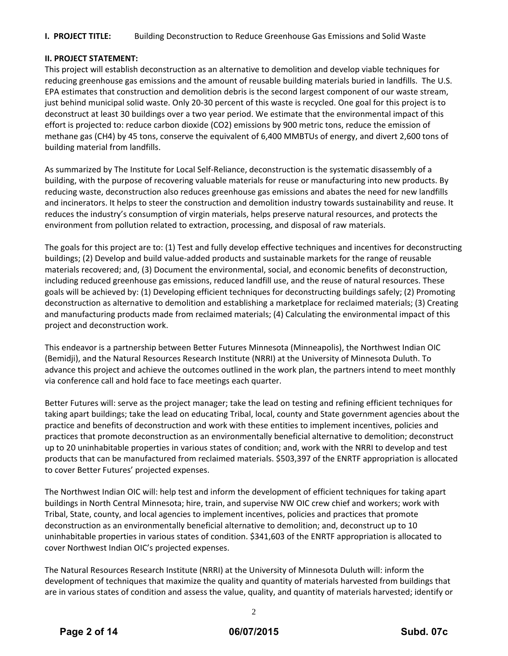# **I. PROJECT TITLE:** Building Deconstruction to Reduce Greenhouse Gas Emissions and Solid Waste

#### **II. PROJECT STATEMENT:**

This project will establish deconstruction as an alternative to demolition and develop viable techniques for reducing greenhouse gas emissions and the amount of reusable building materials buried in landfills. The U.S. EPA estimates that construction and demolition debris is the second largest component of our waste stream, just behind municipal solid waste. Only 20‐30 percent of this waste is recycled. One goal for this project is to deconstruct at least 30 buildings over a two year period. We estimate that the environmental impact of this effort is projected to: reduce carbon dioxide (CO2) emissions by 900 metric tons, reduce the emission of methane gas (CH4) by 45 tons, conserve the equivalent of 6,400 MMBTUs of energy, and divert 2,600 tons of building material from landfills.

As summarized by The Institute for Local Self‐Reliance, deconstruction is the systematic disassembly of a building, with the purpose of recovering valuable materials for reuse or manufacturing into new products. By reducing waste, deconstruction also reduces greenhouse gas emissions and abates the need for new landfills and incinerators. It helps to steer the construction and demolition industry towards sustainability and reuse. It reduces the industry's consumption of virgin materials, helps preserve natural resources, and protects the environment from pollution related to extraction, processing, and disposal of raw materials.

The goals for this project are to: (1) Test and fully develop effective techniques and incentives for deconstructing buildings; (2) Develop and build value‐added products and sustainable markets for the range of reusable materials recovered; and, (3) Document the environmental, social, and economic benefits of deconstruction, including reduced greenhouse gas emissions, reduced landfill use, and the reuse of natural resources. These goals will be achieved by: (1) Developing efficient techniques for deconstructing buildings safely; (2) Promoting deconstruction as alternative to demolition and establishing a marketplace for reclaimed materials; (3) Creating and manufacturing products made from reclaimed materials; (4) Calculating the environmental impact of this project and deconstruction work.

This endeavor is a partnership between Better Futures Minnesota (Minneapolis), the Northwest Indian OIC (Bemidji), and the Natural Resources Research Institute (NRRI) at the University of Minnesota Duluth. To advance this project and achieve the outcomes outlined in the work plan, the partners intend to meet monthly via conference call and hold face to face meetings each quarter.

Better Futures will: serve as the project manager; take the lead on testing and refining efficient techniques for taking apart buildings; take the lead on educating Tribal, local, county and State government agencies about the practice and benefits of deconstruction and work with these entities to implement incentives, policies and practices that promote deconstruction as an environmentally beneficial alternative to demolition; deconstruct up to 20 uninhabitable properties in various states of condition; and, work with the NRRI to develop and test products that can be manufactured from reclaimed materials. \$503,397 of the ENRTF appropriation is allocated to cover Better Futures' projected expenses.

The Northwest Indian OIC will: help test and inform the development of efficient techniques for taking apart buildings in North Central Minnesota; hire, train, and supervise NW OIC crew chief and workers; work with Tribal, State, county, and local agencies to implement incentives, policies and practices that promote deconstruction as an environmentally beneficial alternative to demolition; and, deconstruct up to 10 uninhabitable properties in various states of condition. \$341,603 of the ENRTF appropriation is allocated to cover Northwest Indian OIC's projected expenses.

The Natural Resources Research Institute (NRRI) at the University of Minnesota Duluth will: inform the development of techniques that maximize the quality and quantity of materials harvested from buildings that are in various states of condition and assess the value, quality, and quantity of materials harvested; identify or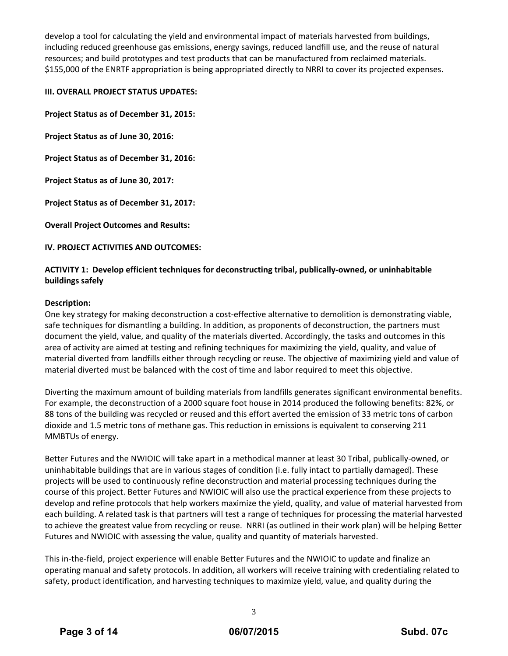develop a tool for calculating the yield and environmental impact of materials harvested from buildings, including reduced greenhouse gas emissions, energy savings, reduced landfill use, and the reuse of natural resources; and build prototypes and test products that can be manufactured from reclaimed materials. \$155,000 of the ENRTF appropriation is being appropriated directly to NRRI to cover its projected expenses.

# **III. OVERALL PROJECT STATUS UPDATES:**

**Project Status as of December 31, 2015:**

**Project Status as of June 30, 2016:**

**Project Status as of December 31, 2016:**

**Project Status as of June 30, 2017:**

**Project Status as of December 31, 2017:**

**Overall Project Outcomes and Results:**

**IV. PROJECT ACTIVITIES AND OUTCOMES:**

# **ACTIVITY 1: Develop efficient techniques for deconstructing tribal, publically‐owned, or uninhabitable buildings safely**

#### **Description:**

One key strategy for making deconstruction a cost‐effective alternative to demolition is demonstrating viable, safe techniques for dismantling a building. In addition, as proponents of deconstruction, the partners must document the yield, value, and quality of the materials diverted. Accordingly, the tasks and outcomes in this area of activity are aimed at testing and refining techniques for maximizing the yield, quality, and value of material diverted from landfills either through recycling or reuse. The objective of maximizing yield and value of material diverted must be balanced with the cost of time and labor required to meet this objective.

Diverting the maximum amount of building materials from landfills generates significant environmental benefits. For example, the deconstruction of a 2000 square foot house in 2014 produced the following benefits: 82%, or 88 tons of the building was recycled or reused and this effort averted the emission of 33 metric tons of carbon dioxide and 1.5 metric tons of methane gas. This reduction in emissions is equivalent to conserving 211 MMBTUs of energy.

Better Futures and the NWIOIC will take apart in a methodical manner at least 30 Tribal, publically‐owned, or uninhabitable buildings that are in various stages of condition (i.e. fully intact to partially damaged). These projects will be used to continuously refine deconstruction and material processing techniques during the course of this project. Better Futures and NWIOIC will also use the practical experience from these projects to develop and refine protocols that help workers maximize the yield, quality, and value of material harvested from each building. A related task is that partners will test a range of techniques for processing the material harvested to achieve the greatest value from recycling or reuse. NRRI (as outlined in their work plan) will be helping Better Futures and NWIOIC with assessing the value, quality and quantity of materials harvested.

This in‐the‐field, project experience will enable Better Futures and the NWIOIC to update and finalize an operating manual and safety protocols. In addition, all workers will receive training with credentialing related to safety, product identification, and harvesting techniques to maximize yield, value, and quality during the

3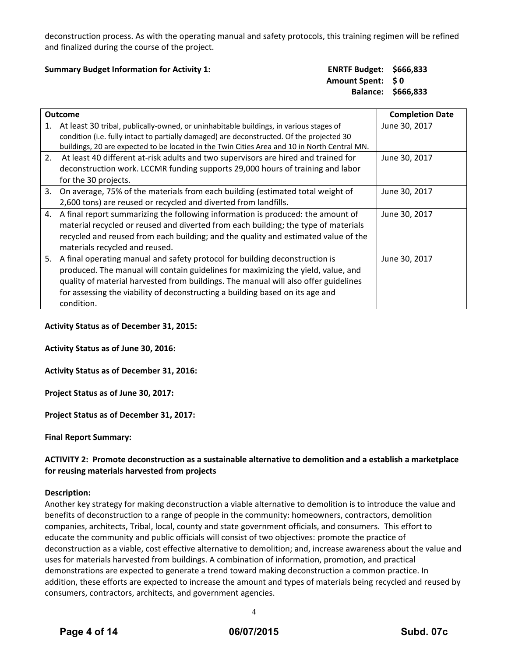deconstruction process. As with the operating manual and safety protocols, this training regimen will be refined and finalized during the course of the project.

#### **Summary Budget Information for Activity 1: ENRTF Budget: \$666,833**

# **Amount Spent: \$ 0 Balance: \$666,833**

|    | <b>Outcome</b>                                                                                                                                                                                                                                                                                                                                         | <b>Completion Date</b> |
|----|--------------------------------------------------------------------------------------------------------------------------------------------------------------------------------------------------------------------------------------------------------------------------------------------------------------------------------------------------------|------------------------|
| 1. | At least 30 tribal, publically-owned, or uninhabitable buildings, in various stages of<br>condition (i.e. fully intact to partially damaged) are deconstructed. Of the projected 30                                                                                                                                                                    | June 30, 2017          |
| 2. | buildings, 20 are expected to be located in the Twin Cities Area and 10 in North Central MN.<br>At least 40 different at-risk adults and two supervisors are hired and trained for<br>deconstruction work. LCCMR funding supports 29,000 hours of training and labor<br>for the 30 projects.                                                           | June 30, 2017          |
| 3. | On average, 75% of the materials from each building (estimated total weight of<br>2,600 tons) are reused or recycled and diverted from landfills.                                                                                                                                                                                                      | June 30, 2017          |
| 4. | A final report summarizing the following information is produced: the amount of<br>material recycled or reused and diverted from each building; the type of materials<br>recycled and reused from each building; and the quality and estimated value of the<br>materials recycled and reused.                                                          | June 30, 2017          |
| 5. | A final operating manual and safety protocol for building deconstruction is<br>produced. The manual will contain guidelines for maximizing the yield, value, and<br>quality of material harvested from buildings. The manual will also offer guidelines<br>for assessing the viability of deconstructing a building based on its age and<br>condition. | June 30, 2017          |

**Activity Status as of December 31, 2015:**

**Activity Status as of June 30, 2016:**

**Activity Status as of December 31, 2016:**

**Project Status as of June 30, 2017:**

**Project Status as of December 31, 2017:**

**Final Report Summary:**

#### **ACTIVITY 2: Promote deconstruction as a sustainable alternative to demolition and a establish a marketplace for reusing materials harvested from projects**

#### **Description:**

Another key strategy for making deconstruction a viable alternative to demolition is to introduce the value and benefits of deconstruction to a range of people in the community: homeowners, contractors, demolition companies, architects, Tribal, local, county and state government officials, and consumers. This effort to educate the community and public officials will consist of two objectives: promote the practice of deconstruction as a viable, cost effective alternative to demolition; and, increase awareness about the value and uses for materials harvested from buildings. A combination of information, promotion, and practical demonstrations are expected to generate a trend toward making deconstruction a common practice. In addition, these efforts are expected to increase the amount and types of materials being recycled and reused by consumers, contractors, architects, and government agencies.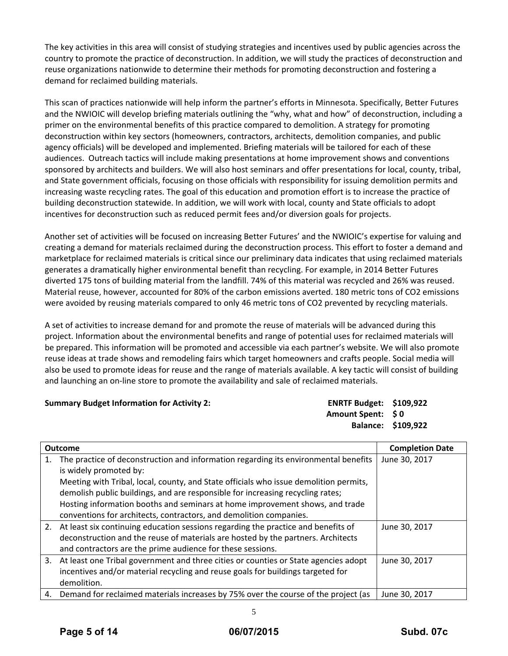The key activities in this area will consist of studying strategies and incentives used by public agencies across the country to promote the practice of deconstruction. In addition, we will study the practices of deconstruction and reuse organizations nationwide to determine their methods for promoting deconstruction and fostering a demand for reclaimed building materials.

This scan of practices nationwide will help inform the partner's efforts in Minnesota. Specifically, Better Futures and the NWIOIC will develop briefing materials outlining the "why, what and how" of deconstruction, including a primer on the environmental benefits of this practice compared to demolition. A strategy for promoting deconstruction within key sectors (homeowners, contractors, architects, demolition companies, and public agency officials) will be developed and implemented. Briefing materials will be tailored for each of these audiences. Outreach tactics will include making presentations at home improvement shows and conventions sponsored by architects and builders. We will also host seminars and offer presentations for local, county, tribal, and State government officials, focusing on those officials with responsibility for issuing demolition permits and increasing waste recycling rates. The goal of this education and promotion effort is to increase the practice of building deconstruction statewide. In addition, we will work with local, county and State officials to adopt incentives for deconstruction such as reduced permit fees and/or diversion goals for projects.

Another set of activities will be focused on increasing Better Futures' and the NWIOIC's expertise for valuing and creating a demand for materials reclaimed during the deconstruction process. This effort to foster a demand and marketplace for reclaimed materials is critical since our preliminary data indicates that using reclaimed materials generates a dramatically higher environmental benefit than recycling. For example, in 2014 Better Futures diverted 175 tons of building material from the landfill. 74% of this material was recycled and 26% was reused. Material reuse, however, accounted for 80% of the carbon emissions averted. 180 metric tons of CO2 emissions were avoided by reusing materials compared to only 46 metric tons of CO2 prevented by recycling materials.

A set of activities to increase demand for and promote the reuse of materials will be advanced during this project. Information about the environmental benefits and range of potential uses for reclaimed materials will be prepared. This information will be promoted and accessible via each partner's website. We will also promote reuse ideas at trade shows and remodeling fairs which target homeowners and crafts people. Social media will also be used to promote ideas for reuse and the range of materials available. A key tactic will consist of building and launching an on‐line store to promote the availability and sale of reclaimed materials.

**Summary Budget Information for Activity 2: ENRTF Budget: \$109,922**

**Amount Spent: \$ 0 Balance: \$109,922**

|    | <b>Outcome</b>                                                                         | <b>Completion Date</b> |
|----|----------------------------------------------------------------------------------------|------------------------|
|    | The practice of deconstruction and information regarding its environmental benefits    | June 30, 2017          |
|    | is widely promoted by:                                                                 |                        |
|    | Meeting with Tribal, local, county, and State officials who issue demolition permits,  |                        |
|    | demolish public buildings, and are responsible for increasing recycling rates;         |                        |
|    | Hosting information booths and seminars at home improvement shows, and trade           |                        |
|    | conventions for architects, contractors, and demolition companies.                     |                        |
|    | 2. At least six continuing education sessions regarding the practice and benefits of   | June 30, 2017          |
|    | deconstruction and the reuse of materials are hosted by the partners. Architects       |                        |
|    | and contractors are the prime audience for these sessions.                             |                        |
|    | 3. At least one Tribal government and three cities or counties or State agencies adopt | June 30, 2017          |
|    | incentives and/or material recycling and reuse goals for buildings targeted for        |                        |
|    | demolition.                                                                            |                        |
| 4. | Demand for reclaimed materials increases by 75% over the course of the project (as     | June 30, 2017          |

5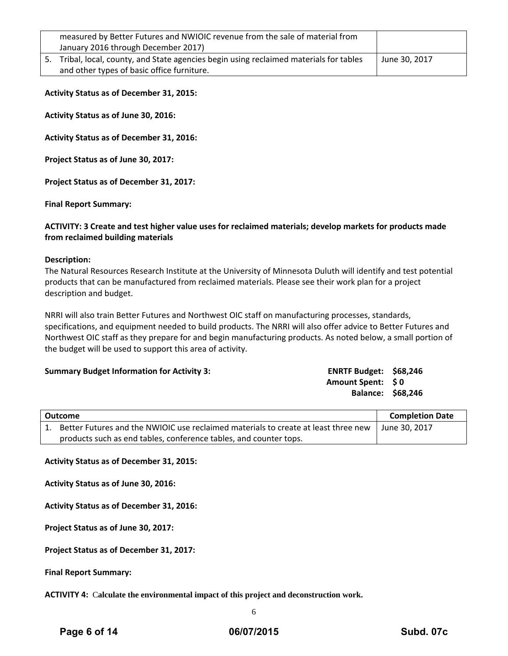| measured by Better Futures and NWIOIC revenue from the sale of material from<br>January 2016 through December 2017)                   |               |
|---------------------------------------------------------------------------------------------------------------------------------------|---------------|
| 5. Tribal, local, county, and State agencies begin using reclaimed materials for tables<br>and other types of basic office furniture. | June 30, 2017 |

**Activity Status as of December 31, 2015:**

**Activity Status as of June 30, 2016:**

**Activity Status as of December 31, 2016:**

**Project Status as of June 30, 2017:**

**Project Status as of December 31, 2017:**

**Final Report Summary:**

# **ACTIVITY: 3 Create and test higher value uses for reclaimed materials; develop markets for products made from reclaimed building materials**

#### **Description:**

The Natural Resources Research Institute at the University of Minnesota Duluth will identify and test potential products that can be manufactured from reclaimed materials. Please see their work plan for a project description and budget.

NRRI will also train Better Futures and Northwest OIC staff on manufacturing processes, standards, specifications, and equipment needed to build products. The NRRI will also offer advice to Better Futures and Northwest OIC staff as they prepare for and begin manufacturing products. As noted below, a small portion of the budget will be used to support this area of activity.

#### **Summary Budget Information for Activity 3:**

| <b>ENRTF Budget:</b> | \$68,246 |
|----------------------|----------|
| <b>Amount Spent:</b> | S O      |
| <b>Balance:</b>      | \$68,246 |

| Outcome                                                                            | <b>Completion Date</b> |
|------------------------------------------------------------------------------------|------------------------|
| Better Futures and the NWIOIC use reclaimed materials to create at least three new | LJune 30. 2017         |
| products such as end tables, conference tables, and counter tops.                  |                        |

**Activity Status as of December 31, 2015:**

**Activity Status as of June 30, 2016:**

**Activity Status as of December 31, 2016:**

**Project Status as of June 30, 2017:**

**Project Status as of December 31, 2017:**

**Final Report Summary:**

**ACTIVITY 4:** C**alculate the environmental impact of this project and deconstruction work.**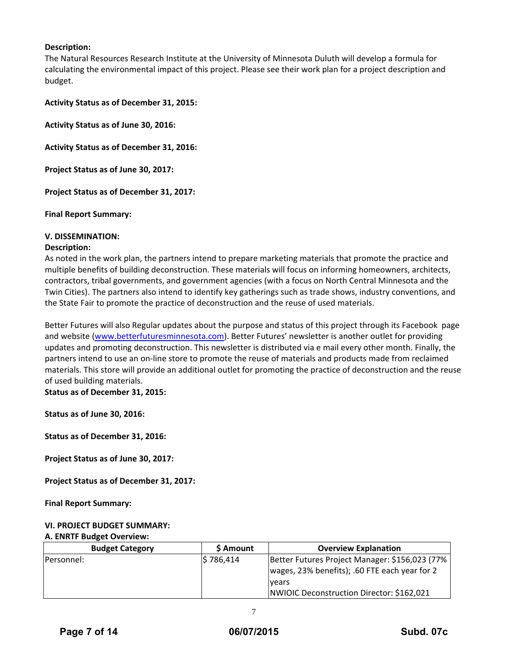# **Description:**

The Natural Resources Research Institute at the University of Minnesota Duluth will develop a formula for calculating the environmental impact of this project. Please see their work plan for a project description and budget.

**Activity Status as of December 31, 2015:**

**Activity Status as of June 30, 2016:**

**Activity Status as of December 31, 2016:**

**Project Status as of June 30, 2017:**

**Project Status as of December 31, 2017:**

**Final Report Summary:**

# **V. DISSEMINATION:**

#### **Description:**

As noted in the work plan, the partners intend to prepare marketing materials that promote the practice and multiple benefits of building deconstruction. These materials will focus on informing homeowners, architects, contractors, tribal governments, and government agencies (with a focus on North Central Minnesota and the Twin Cities). The partners also intend to identify key gatherings such as trade shows, industry conventions, and the State Fair to promote the practice of deconstruction and the reuse of used materials.

Better Futures will also Regular updates about the purpose and status of this project through its Facebook page and website (www.betterfuturesminnesota.com). Better Futures' newsletter is another outlet for providing updates and promoting deconstruction. This newsletter is distributed via e mail every other month. Finally, the partners intend to use an on‐line store to promote the reuse of materials and products made from reclaimed materials. This store will provide an additional outlet for promoting the practice of deconstruction and the reuse of used building materials.

**Status as of December 31, 2015:**

**Status as of June 30, 2016:**

**Status as of December 31, 2016:**

**Project Status as of June 30, 2017:**

**Project Status as of December 31, 2017:**

**Final Report Summary:**

#### **VI. PROJECT BUDGET SUMMARY:** **A. ENRTF Budget Overview:**

| <b>Budget Category</b> | \$ Amount | <b>Overview Explanation</b>                      |
|------------------------|-----------|--------------------------------------------------|
| <b>IPersonnel:</b>     | S 786.414 | Better Futures Project Manager: \$156,023 (77%   |
|                        |           | wages, 23% benefits); .60 FTE each year for 2    |
|                        |           | <u>lvears</u>                                    |
|                        |           | <b>NWIOIC Deconstruction Director: \$162,021</b> |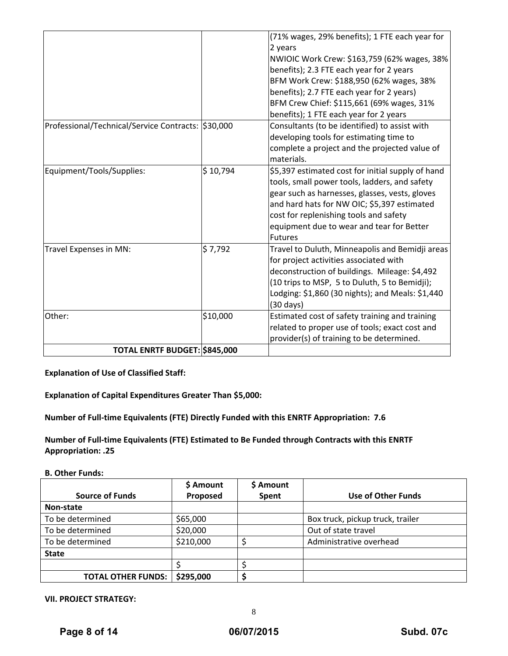|                                                    |          | (71% wages, 29% benefits); 1 FTE each year for    |
|----------------------------------------------------|----------|---------------------------------------------------|
|                                                    |          | 2 years                                           |
|                                                    |          | NWIOIC Work Crew: \$163,759 (62% wages, 38%       |
|                                                    |          | benefits); 2.3 FTE each year for 2 years          |
|                                                    |          | BFM Work Crew: \$188,950 (62% wages, 38%          |
|                                                    |          | benefits); 2.7 FTE each year for 2 years)         |
|                                                    |          | BFM Crew Chief: \$115,661 (69% wages, 31%         |
|                                                    |          | benefits); 1 FTE each year for 2 years            |
| Professional/Technical/Service Contracts: \$30,000 |          | Consultants (to be identified) to assist with     |
|                                                    |          | developing tools for estimating time to           |
|                                                    |          | complete a project and the projected value of     |
|                                                    |          | materials.                                        |
| Equipment/Tools/Supplies:                          | \$10,794 | \$5,397 estimated cost for initial supply of hand |
|                                                    |          | tools, small power tools, ladders, and safety     |
|                                                    |          | gear such as harnesses, glasses, vests, gloves    |
|                                                    |          | and hard hats for NW OIC; \$5,397 estimated       |
|                                                    |          | cost for replenishing tools and safety            |
|                                                    |          | equipment due to wear and tear for Better         |
|                                                    |          | <b>Futures</b>                                    |
| Travel Expenses in MN:                             | \$7,792  | Travel to Duluth, Minneapolis and Bemidji areas   |
|                                                    |          | for project activities associated with            |
|                                                    |          | deconstruction of buildings. Mileage: \$4,492     |
|                                                    |          | (10 trips to MSP, 5 to Duluth, 5 to Bemidji);     |
|                                                    |          | Lodging: \$1,860 (30 nights); and Meals: \$1,440  |
|                                                    |          | $(30 \text{ days})$                               |
| Other:                                             | \$10,000 | Estimated cost of safety training and training    |
|                                                    |          | related to proper use of tools; exact cost and    |
|                                                    |          | provider(s) of training to be determined.         |
| TOTAL ENRTF BUDGET: \$845,000                      |          |                                                   |

**Explanation of Use of Classified Staff:**

**Explanation of Capital Expenditures Greater Than \$5,000:**

**Number of Full‐time Equivalents (FTE) Directly Funded with this ENRTF Appropriation: 7.6**

**Number of Full‐time Equivalents (FTE) Estimated to Be Funded through Contracts with this ENRTF Appropriation: .25**

**B. Other Funds:**

|                           | \$ Amount | \$ Amount |                                  |
|---------------------------|-----------|-----------|----------------------------------|
| <b>Source of Funds</b>    | Proposed  | Spent     | Use of Other Funds               |
| Non-state                 |           |           |                                  |
| To be determined          | \$65,000  |           | Box truck, pickup truck, trailer |
| To be determined          | \$20,000  |           | Out of state travel              |
| To be determined          | \$210,000 |           | Administrative overhead          |
| <b>State</b>              |           |           |                                  |
|                           |           |           |                                  |
| <b>TOTAL OTHER FUNDS:</b> | \$295,000 |           |                                  |

**VII. PROJECT STRATEGY:**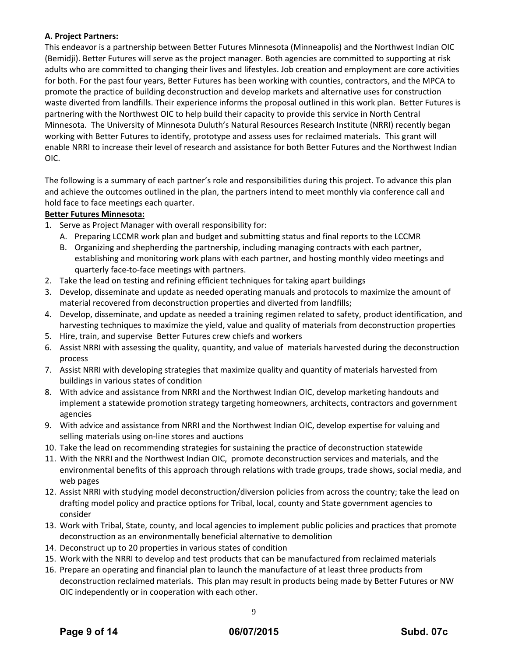# **A. Project Partners:**

This endeavor is a partnership between Better Futures Minnesota (Minneapolis) and the Northwest Indian OIC (Bemidji). Better Futures will serve as the project manager. Both agencies are committed to supporting at risk adults who are committed to changing their lives and lifestyles. Job creation and employment are core activities for both. For the past four years, Better Futures has been working with counties, contractors, and the MPCA to promote the practice of building deconstruction and develop markets and alternative uses for construction waste diverted from landfills. Their experience informs the proposal outlined in this work plan. Better Futures is partnering with the Northwest OIC to help build their capacity to provide this service in North Central Minnesota. The University of Minnesota Duluth's Natural Resources Research Institute (NRRI) recently began working with Better Futures to identify, prototype and assess uses for reclaimed materials. This grant will enable NRRI to increase their level of research and assistance for both Better Futures and the Northwest Indian OIC.

The following is a summary of each partner's role and responsibilities during this project. To advance this plan and achieve the outcomes outlined in the plan, the partners intend to meet monthly via conference call and hold face to face meetings each quarter.

# **Better Futures Minnesota:**

- 1. Serve as Project Manager with overall responsibility for:
	- A. Preparing LCCMR work plan and budget and submitting status and final reports to the LCCMR
	- B. Organizing and shepherding the partnership, including managing contracts with each partner, establishing and monitoring work plans with each partner, and hosting monthly video meetings and quarterly face‐to‐face meetings with partners.
- 2. Take the lead on testing and refining efficient techniques for taking apart buildings
- 3. Develop, disseminate and update as needed operating manuals and protocols to maximize the amount of material recovered from deconstruction properties and diverted from landfills;
- 4. Develop, disseminate, and update as needed a training regimen related to safety, product identification, and harvesting techniques to maximize the yield, value and quality of materials from deconstruction properties
- 5. Hire, train, and supervise Better Futures crew chiefs and workers
- 6. Assist NRRI with assessing the quality, quantity, and value of materials harvested during the deconstruction process
- 7. Assist NRRI with developing strategies that maximize quality and quantity of materials harvested from buildings in various states of condition
- 8. With advice and assistance from NRRI and the Northwest Indian OIC, develop marketing handouts and implement a statewide promotion strategy targeting homeowners, architects, contractors and government agencies
- 9. With advice and assistance from NRRI and the Northwest Indian OIC, develop expertise for valuing and selling materials using on-line stores and auctions
- 10. Take the lead on recommending strategies for sustaining the practice of deconstruction statewide
- 11. With the NRRI and the Northwest Indian OIC, promote deconstruction services and materials, and the environmental benefits of this approach through relations with trade groups, trade shows, social media, and web pages
- 12. Assist NRRI with studying model deconstruction/diversion policies from across the country; take the lead on drafting model policy and practice options for Tribal, local, county and State government agencies to consider
- 13. Work with Tribal, State, county, and local agencies to implement public policies and practices that promote deconstruction as an environmentally beneficial alternative to demolition
- 14. Deconstruct up to 20 properties in various states of condition
- 15. Work with the NRRI to develop and test products that can be manufactured from reclaimed materials
- 16. Prepare an operating and financial plan to launch the manufacture of at least three products from deconstruction reclaimed materials. This plan may result in products being made by Better Futures or NW OIC independently or in cooperation with each other.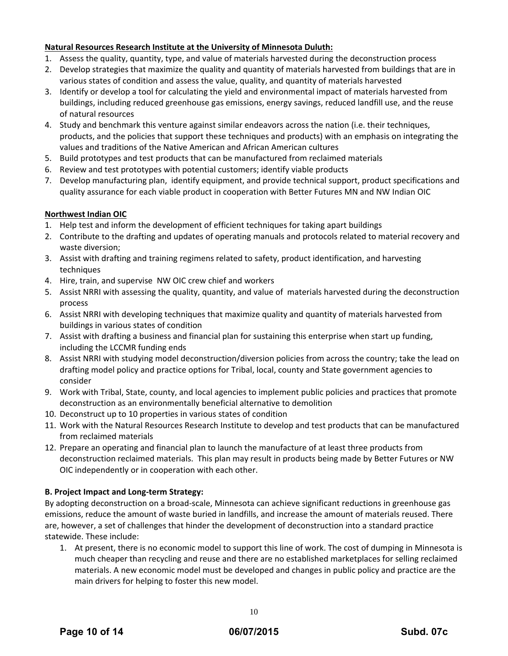# **Natural Resources Research Institute at the University of Minnesota Duluth:**

- 1. Assess the quality, quantity, type, and value of materials harvested during the deconstruction process
- 2. Develop strategies that maximize the quality and quantity of materials harvested from buildings that are in various states of condition and assess the value, quality, and quantity of materials harvested
- 3. Identify or develop a tool for calculating the yield and environmental impact of materials harvested from buildings, including reduced greenhouse gas emissions, energy savings, reduced landfill use, and the reuse of natural resources
- 4. Study and benchmark this venture against similar endeavors across the nation (i.e. their techniques, products, and the policies that support these techniques and products) with an emphasis on integrating the values and traditions of the Native American and African American cultures
- 5. Build prototypes and test products that can be manufactured from reclaimed materials
- 6. Review and test prototypes with potential customers; identify viable products
- 7. Develop manufacturing plan, identify equipment, and provide technical support, product specifications and quality assurance for each viable product in cooperation with Better Futures MN and NW Indian OIC

# **Northwest Indian OIC**

- 1. Help test and inform the development of efficient techniques for taking apart buildings
- 2. Contribute to the drafting and updates of operating manuals and protocols related to material recovery and waste diversion;
- 3. Assist with drafting and training regimens related to safety, product identification, and harvesting techniques
- 4. Hire, train, and supervise NW OIC crew chief and workers
- 5. Assist NRRI with assessing the quality, quantity, and value of materials harvested during the deconstruction process
- 6. Assist NRRI with developing techniques that maximize quality and quantity of materials harvested from buildings in various states of condition
- 7. Assist with drafting a business and financial plan for sustaining this enterprise when start up funding, including the LCCMR funding ends
- 8. Assist NRRI with studying model deconstruction/diversion policies from across the country; take the lead on drafting model policy and practice options for Tribal, local, county and State government agencies to consider
- 9. Work with Tribal, State, county, and local agencies to implement public policies and practices that promote deconstruction as an environmentally beneficial alternative to demolition
- 10. Deconstruct up to 10 properties in various states of condition
- 11. Work with the Natural Resources Research Institute to develop and test products that can be manufactured from reclaimed materials
- 12. Prepare an operating and financial plan to launch the manufacture of at least three products from deconstruction reclaimed materials. This plan may result in products being made by Better Futures or NW OIC independently or in cooperation with each other.

# **B. Project Impact and Long‐term Strategy:**

By adopting deconstruction on a broad‐scale, Minnesota can achieve significant reductions in greenhouse gas emissions, reduce the amount of waste buried in landfills, and increase the amount of materials reused. There are, however, a set of challenges that hinder the development of deconstruction into a standard practice statewide. These include:

1. At present, there is no economic model to support this line of work. The cost of dumping in Minnesota is much cheaper than recycling and reuse and there are no established marketplaces for selling reclaimed materials. A new economic model must be developed and changes in public policy and practice are the main drivers for helping to foster this new model.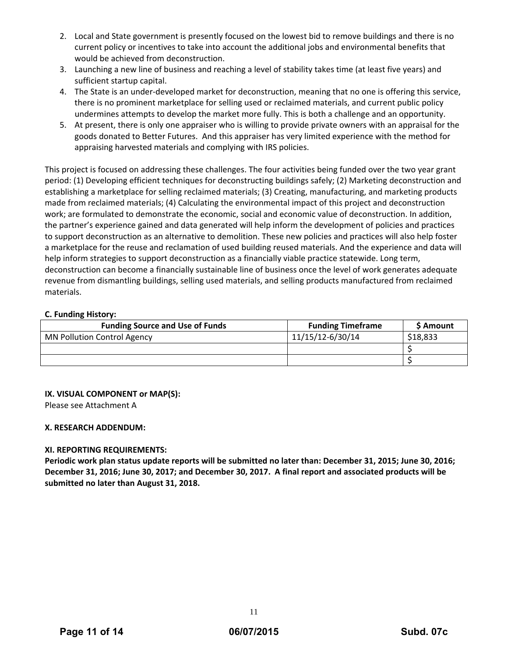- 2. Local and State government is presently focused on the lowest bid to remove buildings and there is no current policy or incentives to take into account the additional jobs and environmental benefits that would be achieved from deconstruction.
- 3. Launching a new line of business and reaching a level of stability takes time (at least five years) and sufficient startup capital.
- 4. The State is an under-developed market for deconstruction, meaning that no one is offering this service, there is no prominent marketplace for selling used or reclaimed materials, and current public policy undermines attempts to develop the market more fully. This is both a challenge and an opportunity.
- 5. At present, there is only one appraiser who is willing to provide private owners with an appraisal for the goods donated to Better Futures. And this appraiser has very limited experience with the method for appraising harvested materials and complying with IRS policies.

This project is focused on addressing these challenges. The four activities being funded over the two year grant period: (1) Developing efficient techniques for deconstructing buildings safely; (2) Marketing deconstruction and establishing a marketplace for selling reclaimed materials; (3) Creating, manufacturing, and marketing products made from reclaimed materials; (4) Calculating the environmental impact of this project and deconstruction work; are formulated to demonstrate the economic, social and economic value of deconstruction. In addition, the partner's experience gained and data generated will help inform the development of policies and practices to support deconstruction as an alternative to demolition. These new policies and practices will also help foster a marketplace for the reuse and reclamation of used building reused materials. And the experience and data will help inform strategies to support deconstruction as a financially viable practice statewide. Long term, deconstruction can become a financially sustainable line of business once the level of work generates adequate revenue from dismantling buildings, selling used materials, and selling products manufactured from reclaimed materials.

# **C. Funding History:**

| <b>Funding Source and Use of Funds</b> | <b>Funding Timeframe</b> | <b>S</b> Amount |
|----------------------------------------|--------------------------|-----------------|
| <b>MN Pollution Control Agency</b>     | 11/15/12-6/30/14         | \$18,833        |
|                                        |                          |                 |
|                                        |                          |                 |

# **IX. VISUAL COMPONENT or MAP(S):**

Please see Attachment A

# **X. RESEARCH ADDENDUM:**

# **XI. REPORTING REQUIREMENTS:**

Periodic work plan status update reports will be submitted no later than: December 31, 2015; June 30, 2016; December 31, 2016; June 30, 2017; and December 30, 2017. A final report and associated products will be **submitted no later than August 31, 2018.**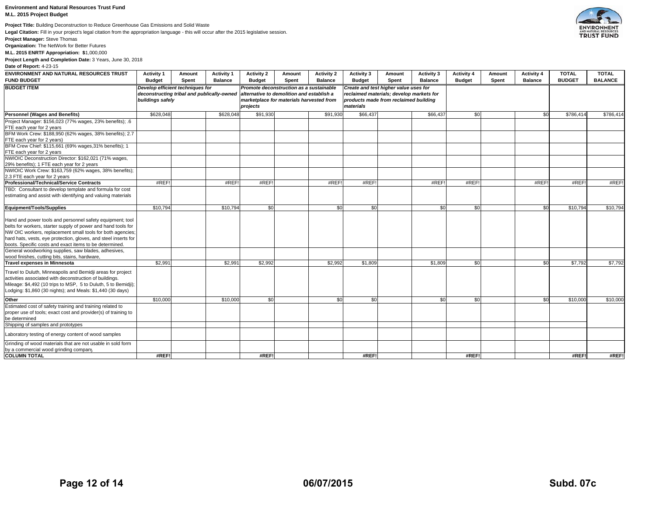#### **Environment and Natural Resources Trust Fund**

**M.L. 2015 Project Budget**

**Project Title:** Building Deconstruction to Reduce Greenhouse Gas Emissions and Solid Waste

**Legal Citation:** Fill in your project's legal citation from the appropriation language - this will occur after the 2015 legislative session.

**Project Manager:** Steve Thomas

**Organization:** The NetWork for Better Futures

**M.L. 2015 ENRTF Appropriation: \$**1,000,000

**Project Length and Completion Date:** 3 Years, June 30, 2018 **Date of Report:** 4-23-15

| ENVIRONMENT AND NATURAL RESOURCES TRUST<br><b>FUND BUDGET</b>                                                                                                                                                                                                                                                                                                                  | <b>Activity 1</b><br><b>Budget</b>                                                                 | Amount<br><b>Spent</b> | <b>Activity 1</b><br><b>Balance</b>                                                                                                          | <b>Activity 2</b><br><b>Budget</b> | Amount<br>Spent                                                                                                                         | <b>Activity 2</b><br><b>Balance</b> | <b>Activity 3</b><br><b>Budget</b> | Amount<br>Spent | Activity 3<br><b>Balance</b> | <b>Activity 4</b><br><b>Budget</b> | Amount<br>Spent | <b>Activity 4</b><br><b>Balance</b> | <b>TOTAL</b><br><b>BUDGET</b> | <b>TOTAL</b><br><b>BALANCE</b> |
|--------------------------------------------------------------------------------------------------------------------------------------------------------------------------------------------------------------------------------------------------------------------------------------------------------------------------------------------------------------------------------|----------------------------------------------------------------------------------------------------|------------------------|----------------------------------------------------------------------------------------------------------------------------------------------|------------------------------------|-----------------------------------------------------------------------------------------------------------------------------------------|-------------------------------------|------------------------------------|-----------------|------------------------------|------------------------------------|-----------------|-------------------------------------|-------------------------------|--------------------------------|
| <b>BUDGET ITEM</b>                                                                                                                                                                                                                                                                                                                                                             | Develop efficient techniques for<br>deconstructing tribal and publically-owned<br>buildings safely |                        | Promote deconstruction as a sustainable<br>alternative to demolition and establish a<br>marketplace for materials harvested from<br>projects |                                    | Create and test higher value uses for<br>reclaimed materials; develop markets for<br>products made from reclaimed building<br>materials |                                     |                                    |                 |                              |                                    |                 |                                     |                               |                                |
| <b>Personnel (Wages and Benefits)</b>                                                                                                                                                                                                                                                                                                                                          | \$628,048                                                                                          |                        | \$628,048                                                                                                                                    | \$91,930                           |                                                                                                                                         | \$91,930                            | \$66,437                           |                 | \$66,437                     | \$0                                |                 | \$0                                 | \$786,414                     | \$786,414                      |
| Project Manager: \$156,023 (77% wages, 23% benefits); .6<br>FTE each year for 2 years<br>BFM Work Crew: \$188,950 (62% wages, 38% benefits); 2.7<br>FTE each year for 2 years)                                                                                                                                                                                                 |                                                                                                    |                        |                                                                                                                                              |                                    |                                                                                                                                         |                                     |                                    |                 |                              |                                    |                 |                                     |                               |                                |
| BFM Crew Chief: \$115,661 (69% wages, 31% benefits); 1<br>FTE each year for 2 years<br>NWIOIC Deconstruction Director: \$162,021 (71% wages,<br>29% benefits); 1 FTE each year for 2 years<br>NWIOIC Work Crew: \$163,759 (62% wages, 38% benefits);                                                                                                                           |                                                                                                    |                        |                                                                                                                                              |                                    |                                                                                                                                         |                                     |                                    |                 |                              |                                    |                 |                                     |                               |                                |
| 2.3 FTE each year for 2 years                                                                                                                                                                                                                                                                                                                                                  |                                                                                                    |                        |                                                                                                                                              |                                    |                                                                                                                                         |                                     |                                    |                 |                              |                                    |                 |                                     |                               |                                |
| <b>Professional/Technical/Service Contracts</b><br>TBD: Consultant to develop template and formula for cost<br>estimating and assist with identifying and valuing materials                                                                                                                                                                                                    | #REF!                                                                                              |                        | #REF!                                                                                                                                        | #REF!                              |                                                                                                                                         | #REF!                               | #REF!                              |                 | #REF                         | #REF!                              |                 | #REF                                | #REF!                         | #REF!                          |
| Equipment/Tools/Supplies                                                                                                                                                                                                                                                                                                                                                       | \$10,794                                                                                           |                        | \$10,794                                                                                                                                     | \$0                                |                                                                                                                                         | \$0                                 | \$0                                |                 | \$0                          | \$0                                |                 | \$0                                 | \$10,794                      | \$10.794                       |
| Hand and power tools and personnel safety equipment; tool<br>belts for workers, starter supply of power and hand tools for<br>NW OIC workers, replacement small tools for both agencies;<br>hard hats, vests, eye protection, gloves, and steel inserts for<br>boots. Specific costs and exact items to be determined.<br>General woodworking supplies, saw blades, adhesives, |                                                                                                    |                        |                                                                                                                                              |                                    |                                                                                                                                         |                                     |                                    |                 |                              |                                    |                 |                                     |                               |                                |
| wood finishes, cutting bits, stains, hardware,                                                                                                                                                                                                                                                                                                                                 |                                                                                                    |                        |                                                                                                                                              |                                    |                                                                                                                                         |                                     |                                    |                 |                              |                                    |                 |                                     |                               |                                |
| <b>Travel expenses in Minnesota</b><br>Travel to Duluth, Minneapolis and Bemidji areas for project<br>activities associated with deconstruction of buildings.<br>Mileage: \$4,492 (10 trips to MSP, 5 to Duluth, 5 to Bemidii);<br>Lodging: \$1,860 (30 nights); and Meals: \$1,440 (30 days)                                                                                  | \$2,991                                                                                            |                        | \$2,991                                                                                                                                      | \$2,992                            |                                                                                                                                         | \$2.992                             | \$1,809                            |                 | \$1,809                      | \$0                                |                 | \$0                                 | \$7,792                       | \$7,792                        |
| Other<br>Estimated cost of safety training and training related to<br>proper use of tools; exact cost and provider(s) of training to<br>be determined                                                                                                                                                                                                                          | \$10,000                                                                                           |                        | \$10,000                                                                                                                                     | \$0                                |                                                                                                                                         | \$0                                 | \$0                                |                 | \$0                          | \$0                                |                 | \$0                                 | \$10,000                      | \$10,000                       |
| Shipping of samples and prototypes                                                                                                                                                                                                                                                                                                                                             |                                                                                                    |                        |                                                                                                                                              |                                    |                                                                                                                                         |                                     |                                    |                 |                              |                                    |                 |                                     |                               |                                |
| Laboratory testing of energy content of wood samples                                                                                                                                                                                                                                                                                                                           |                                                                                                    |                        |                                                                                                                                              |                                    |                                                                                                                                         |                                     |                                    |                 |                              |                                    |                 |                                     |                               |                                |
| Grinding of wood materials that are not usable in sold form<br>by a commercial wood grinding company<br><b>COLUMN TOTAL</b>                                                                                                                                                                                                                                                    | #REF!                                                                                              |                        |                                                                                                                                              | #REF!                              |                                                                                                                                         |                                     | #REF!                              |                 |                              | #REF!                              |                 |                                     | #REF!                         | #REF!                          |